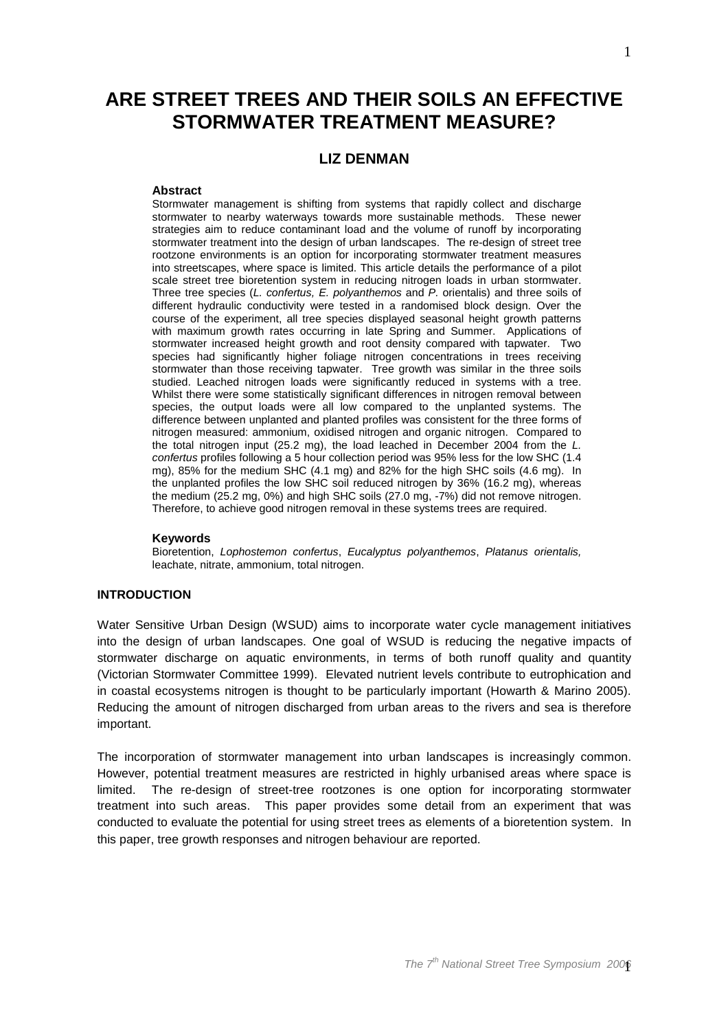# **ARE STREET TREES AND THEIR SOILS AN EFFECTIVE STORMWATER TREATMENT MEASURE?**

# **LIZ DENMAN**

#### **Abstract**

Stormwater management is shifting from systems that rapidly collect and discharge stormwater to nearby waterways towards more sustainable methods. These newer strategies aim to reduce contaminant load and the volume of runoff by incorporating stormwater treatment into the design of urban landscapes. The re-design of street tree rootzone environments is an option for incorporating stormwater treatment measures into streetscapes, where space is limited. This article details the performance of a pilot scale street tree bioretention system in reducing nitrogen loads in urban stormwater. Three tree species (L. confertus, E. polyanthemos and P. orientalis) and three soils of different hydraulic conductivity were tested in a randomised block design. Over the course of the experiment, all tree species displayed seasonal height growth patterns with maximum growth rates occurring in late Spring and Summer. Applications of stormwater increased height growth and root density compared with tapwater. Two species had significantly higher foliage nitrogen concentrations in trees receiving stormwater than those receiving tapwater. Tree growth was similar in the three soils studied. Leached nitrogen loads were significantly reduced in systems with a tree. Whilst there were some statistically significant differences in nitrogen removal between species, the output loads were all low compared to the unplanted systems. The difference between unplanted and planted profiles was consistent for the three forms of nitrogen measured: ammonium, oxidised nitrogen and organic nitrogen. Compared to the total nitrogen input (25.2 mg), the load leached in December 2004 from the L. confertus profiles following a 5 hour collection period was 95% less for the low SHC (1.4 mg), 85% for the medium SHC (4.1 mg) and 82% for the high SHC soils (4.6 mg). In the unplanted profiles the low SHC soil reduced nitrogen by 36% (16.2 mg), whereas the medium (25.2 mg, 0%) and high SHC soils (27.0 mg, -7%) did not remove nitrogen. Therefore, to achieve good nitrogen removal in these systems trees are required.

#### **Keywords**

Bioretention, Lophostemon confertus, Eucalyptus polyanthemos, Platanus orientalis, leachate, nitrate, ammonium, total nitrogen.

# **INTRODUCTION**

Water Sensitive Urban Design (WSUD) aims to incorporate water cycle management initiatives into the design of urban landscapes. One goal of WSUD is reducing the negative impacts of stormwater discharge on aquatic environments, in terms of both runoff quality and quantity (Victorian Stormwater Committee 1999). Elevated nutrient levels contribute to eutrophication and in coastal ecosystems nitrogen is thought to be particularly important (Howarth & Marino 2005). Reducing the amount of nitrogen discharged from urban areas to the rivers and sea is therefore important.

The incorporation of stormwater management into urban landscapes is increasingly common. However, potential treatment measures are restricted in highly urbanised areas where space is limited. The re-design of street-tree rootzones is one option for incorporating stormwater treatment into such areas. This paper provides some detail from an experiment that was conducted to evaluate the potential for using street trees as elements of a bioretention system. In this paper, tree growth responses and nitrogen behaviour are reported.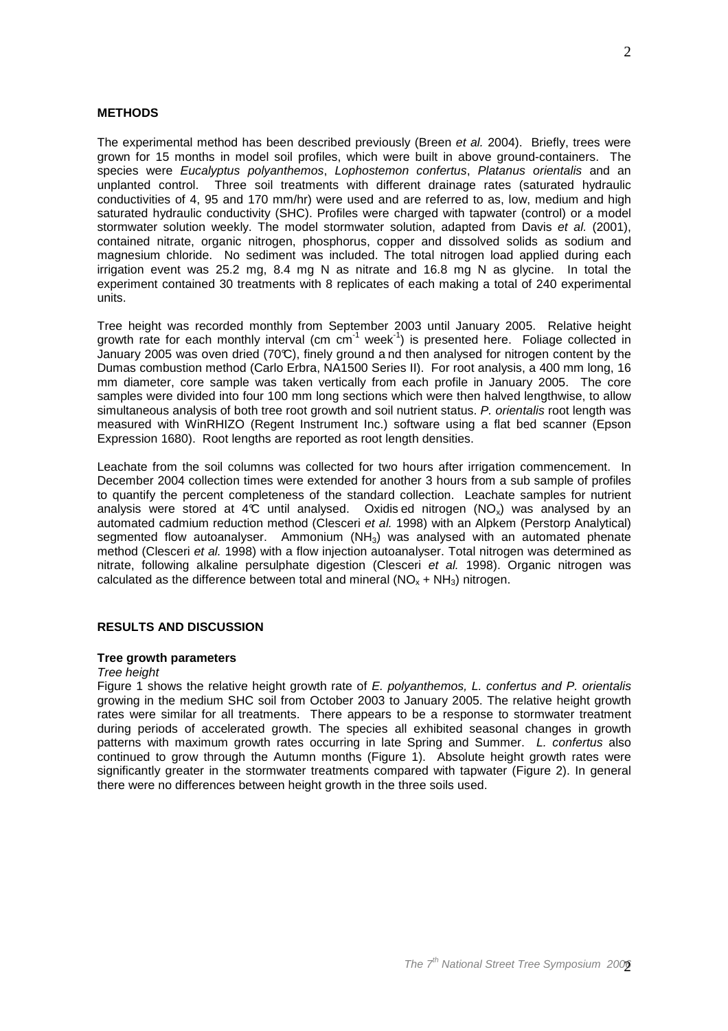#### **METHODS**

The experimental method has been described previously (Breen et al. 2004). Briefly, trees were grown for 15 months in model soil profiles, which were built in above ground-containers. The species were Eucalyptus polyanthemos, Lophostemon confertus, Platanus orientalis and an unplanted control. Three soil treatments with different drainage rates (saturated hydraulic conductivities of 4, 95 and 170 mm/hr) were used and are referred to as, low, medium and high saturated hydraulic conductivity (SHC). Profiles were charged with tapwater (control) or a model stormwater solution weekly. The model stormwater solution, adapted from Davis et al. (2001), contained nitrate, organic nitrogen, phosphorus, copper and dissolved solids as sodium and magnesium chloride. No sediment was included. The total nitrogen load applied during each irrigation event was 25.2 mg, 8.4 mg N as nitrate and 16.8 mg N as glycine. In total the experiment contained 30 treatments with 8 replicates of each making a total of 240 experimental units.

Tree height was recorded monthly from September 2003 until January 2005. Relative height growth rate for each monthly interval (cm  $cm^{-1}$  week<sup>-1</sup>) is presented here. Foliage collected in January 2005 was oven dried (70°C), finely ground a nd then analysed for nitrogen content by the Dumas combustion method (Carlo Erbra, NA1500 Series II). For root analysis, a 400 mm long, 16 mm diameter, core sample was taken vertically from each profile in January 2005. The core samples were divided into four 100 mm long sections which were then halved lengthwise, to allow simultaneous analysis of both tree root growth and soil nutrient status. P. orientalis root length was measured with WinRHIZO (Regent Instrument Inc.) software using a flat bed scanner (Epson Expression 1680). Root lengths are reported as root length densities.

Leachate from the soil columns was collected for two hours after irrigation commencement. In December 2004 collection times were extended for another 3 hours from a sub sample of profiles to quantify the percent completeness of the standard collection. Leachate samples for nutrient analysis were stored at 4°C until analysed. Oxidis ed nitrogen  $(NO_x)$  was analysed by an automated cadmium reduction method (Clesceri et al. 1998) with an Alpkem (Perstorp Analytical) segmented flow autoanalyser. Ammonium  $(NH_3)$  was analysed with an automated phenate method (Clesceri et al. 1998) with a flow injection autoanalyser. Total nitrogen was determined as nitrate, following alkaline persulphate digestion (Clesceri et al. 1998). Organic nitrogen was calculated as the difference between total and mineral  $(NO<sub>x</sub> + NH<sub>3</sub>)$  nitrogen.

## **RESULTS AND DISCUSSION**

#### **Tree growth parameters**

#### Tree height

Figure 1 shows the relative height growth rate of E. polyanthemos, L. confertus and P. orientalis growing in the medium SHC soil from October 2003 to January 2005. The relative height growth rates were similar for all treatments. There appears to be a response to stormwater treatment during periods of accelerated growth. The species all exhibited seasonal changes in growth patterns with maximum growth rates occurring in late Spring and Summer. L. confertus also continued to grow through the Autumn months (Figure 1). Absolute height growth rates were significantly greater in the stormwater treatments compared with tapwater (Figure 2). In general there were no differences between height growth in the three soils used.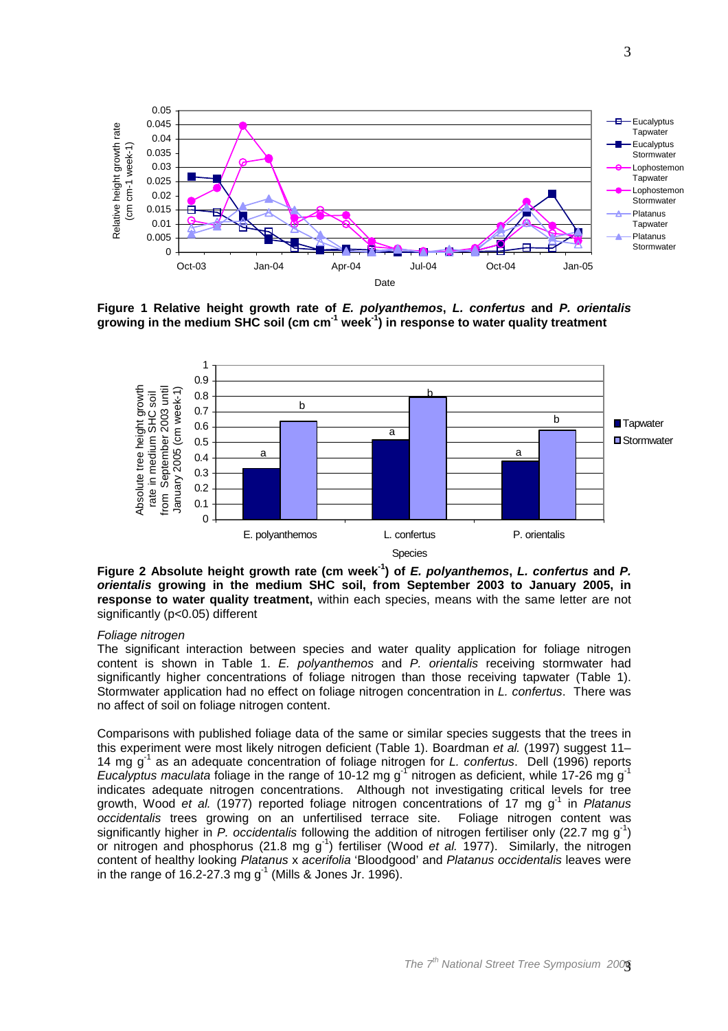

**Figure 1 Relative height growth rate of E. polyanthemos, L. confertus and P. orientalis growing in the medium SHC soil (cm cm-1 week-1) in response to water quality treatment** 



**Figure 2 Absolute height growth rate (cm week-1) of E. polyanthemos, L. confertus and P. orientalis growing in the medium SHC soil, from September 2003 to January 2005, in response to water quality treatment,** within each species, means with the same letter are not significantly (p<0.05) different

#### Foliage nitrogen

The significant interaction between species and water quality application for foliage nitrogen content is shown in Table 1. E. polyanthemos and P. orientalis receiving stormwater had significantly higher concentrations of foliage nitrogen than those receiving tapwater (Table 1). Stormwater application had no effect on foliage nitrogen concentration in L. confertus. There was no affect of soil on foliage nitrogen content.

Comparisons with published foliage data of the same or similar species suggests that the trees in this experiment were most likely nitrogen deficient (Table 1). Boardman et al. (1997) suggest 11– 14 mg  $g^{-1}$  as an adequate concentration of foliage nitrogen for L. confertus. Dell (1996) reports Eucalyptus maculata foliage in the range of 10-12 mg g<sup>-1</sup> nitrogen as deficient, while 17-26 mg g<sup>-1</sup> indicates adequate nitrogen concentrations. Although not investigating critical levels for tree growth, Wood et al. (1977) reported foliage nitrogen concentrations of 17 mg g<sup>1</sup> in Platanus occidentalis trees growing on an unfertilised terrace site. Foliage nitrogen content was significantly higher in P. occidentalis following the addition of nitrogen fertiliser only (22.7 mg  $g^{-1}$ ) or nitrogen and phosphorus (21.8 mg  $g^{-1}$ ) fertiliser (Wood et al. 1977). Similarly, the nitrogen content of healthy looking Platanus x acerifolia 'Bloodgood' and Platanus occidentalis leaves were in the range of 16.2-27.3 mg  $g^{-1}$  (Mills & Jones Jr. 1996).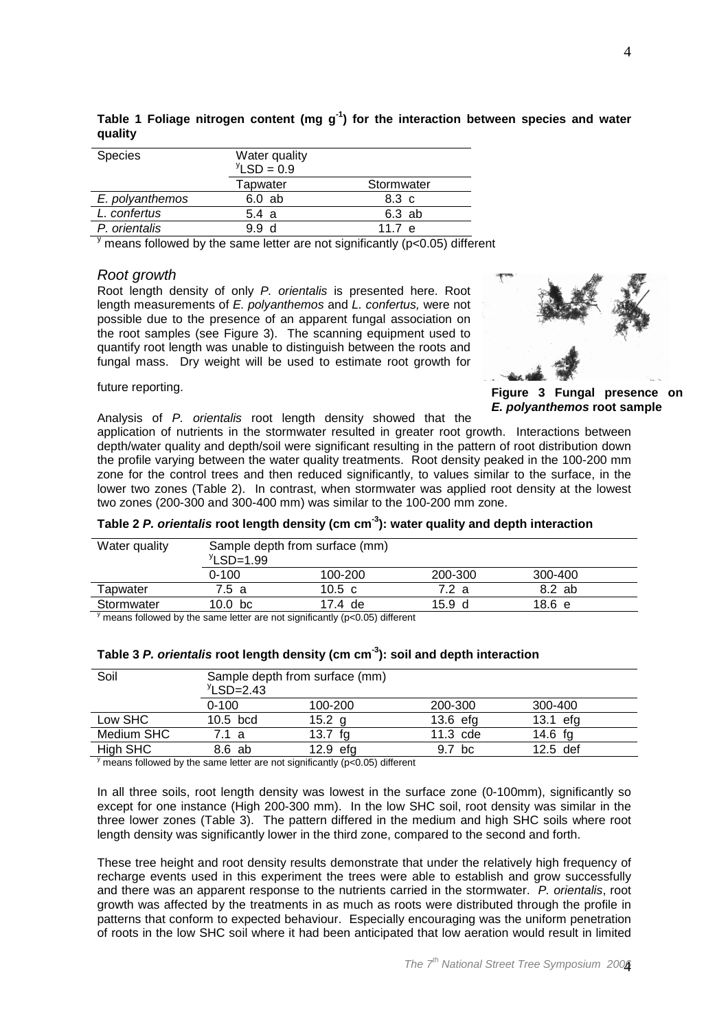| <b>Species</b>  | Water quality          |            |
|-----------------|------------------------|------------|
|                 | $\mathrm{Y}$ LSD = 0.9 |            |
|                 | Tapwater               | Stormwater |
| E. polyanthemos | 6.0 ab                 | 8.3 c      |
| L. confertus    | 5.4a                   | 6.3 ab     |
| P. orientalis   | 99<br>- d              | 11.7 $e$   |

**Table 1 Foliage nitrogen content (mg g-1) for the interaction between species and water quality** 

 $\frac{y}{y}$  means followed by the same letter are not significantly (p<0.05) different

#### Root growth

Root length density of only P. orientalis is presented here. Root length measurements of E. polyanthemos and L. confertus, were not possible due to the presence of an apparent fungal association on the root samples (see Figure 3). The scanning equipment used to quantify root length was unable to distinguish between the roots and fungal mass. Dry weight will be used to estimate root growth for



**Figure 3 Fungal presence on E. polyanthemos root sample** 

## future reporting.

Analysis of P. orientalis root length density showed that the

application of nutrients in the stormwater resulted in greater root growth. Interactions between depth/water quality and depth/soil were significant resulting in the pattern of root distribution down the profile varying between the water quality treatments. Root density peaked in the 100-200 mm zone for the control trees and then reduced significantly, to values similar to the surface, in the lower two zones (Table 2). In contrast, when stormwater was applied root density at the lowest two zones (200-300 and 300-400 mm) was similar to the 100-200 mm zone.

| 200-300 | 300-400 |  |
|---------|---------|--|
| 7.2 a   | 8.2 ab  |  |
| 15.9 d  | 18.6 e  |  |
|         |         |  |

## **Table 2 P. orientalis root length density (cm cm-3): water quality and depth interaction**

 $\frac{y}{y}$  means followed by the same letter are not significantly (p<0.05) different

| Soil       | Sample depth from surface (mm)<br>$\text{YLSD} = 2.43$ |            |            |            |
|------------|--------------------------------------------------------|------------|------------|------------|
|            | $0 - 100$                                              | 100-200    | 200-300    | 300-400    |
| Low SHC    | $10.5$ bcd                                             | 15.2 a     | $13.6$ efg | 13.1 efa   |
| Medium SHC | 7.1 a                                                  | 13.7       | $11.3$ cde | 14.6 $f$ g |
| High SHC   | 8.6 ab                                                 | $12.9$ efg | 9.7<br>bc  | $12.5$ def |

| Table 3 P. orientalis root length density (cm cm <sup>-3</sup> ): soil and depth interaction |  |  |
|----------------------------------------------------------------------------------------------|--|--|
|                                                                                              |  |  |
|                                                                                              |  |  |

 $\frac{y}{y}$  means followed by the same letter are not significantly (p<0.05) different

In all three soils, root length density was lowest in the surface zone (0-100mm), significantly so except for one instance (High 200-300 mm). In the low SHC soil, root density was similar in the three lower zones (Table 3). The pattern differed in the medium and high SHC soils where root length density was significantly lower in the third zone, compared to the second and forth.

These tree height and root density results demonstrate that under the relatively high frequency of recharge events used in this experiment the trees were able to establish and grow successfully and there was an apparent response to the nutrients carried in the stormwater. P. orientalis, root growth was affected by the treatments in as much as roots were distributed through the profile in patterns that conform to expected behaviour. Especially encouraging was the uniform penetration of roots in the low SHC soil where it had been anticipated that low aeration would result in limited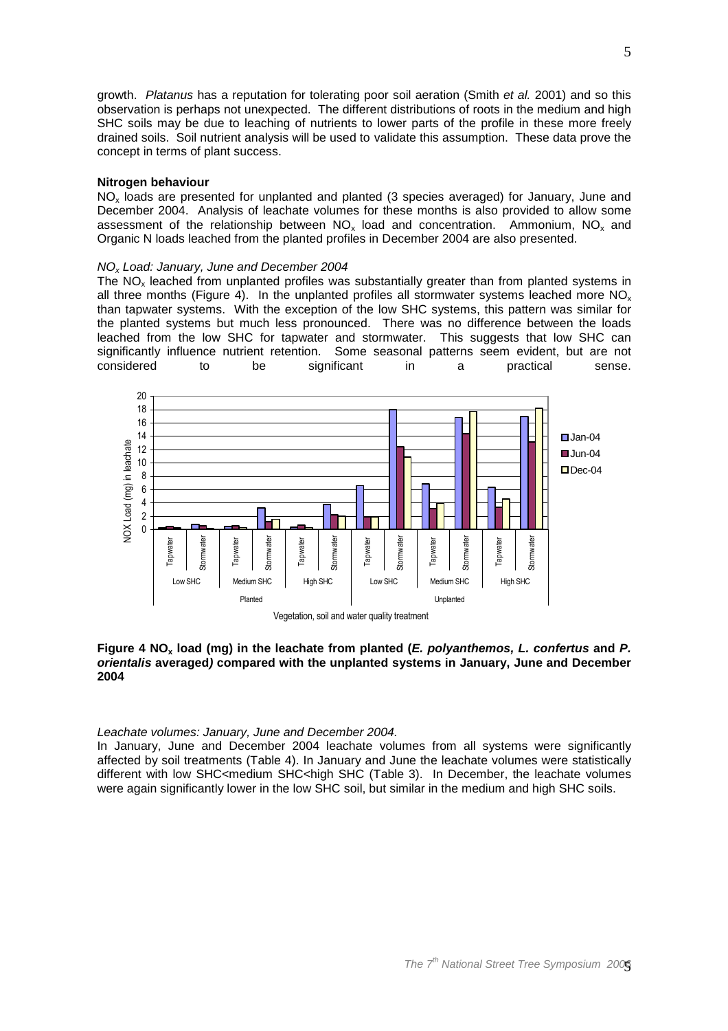growth. Platanus has a reputation for tolerating poor soil aeration (Smith et al. 2001) and so this observation is perhaps not unexpected. The different distributions of roots in the medium and high SHC soils may be due to leaching of nutrients to lower parts of the profile in these more freely drained soils. Soil nutrient analysis will be used to validate this assumption. These data prove the concept in terms of plant success.

#### **Nitrogen behaviour**

 $NO<sub>x</sub>$  loads are presented for unplanted and planted (3 species averaged) for January, June and December 2004. Analysis of leachate volumes for these months is also provided to allow some assessment of the relationship between  $NO_x$  load and concentration. Ammonium,  $NO_x$  and Organic N loads leached from the planted profiles in December 2004 are also presented.

#### NOx Load: January, June and December 2004

The  $NO<sub>x</sub>$  leached from unplanted profiles was substantially greater than from planted systems in all three months (Figure 4). In the unplanted profiles all stormwater systems leached more  $NO<sub>x</sub>$ than tapwater systems. With the exception of the low SHC systems, this pattern was similar for the planted systems but much less pronounced. There was no difference between the loads leached from the low SHC for tapwater and stormwater. This suggests that low SHC can significantly influence nutrient retention. Some seasonal patterns seem evident, but are not considered to the significant in a practical sense. considered to be significant in a practical sense.



## **Figure 4 NOx load (mg) in the leachate from planted (E. polyanthemos, L. confertus and P. orientalis averaged) compared with the unplanted systems in January, June and December 2004**

# Leachate volumes: January, June and December 2004.

In January, June and December 2004 leachate volumes from all systems were significantly affected by soil treatments (Table 4). In January and June the leachate volumes were statistically different with low SHC<medium SHC<high SHC (Table 3). In December, the leachate volumes were again significantly lower in the low SHC soil, but similar in the medium and high SHC soils.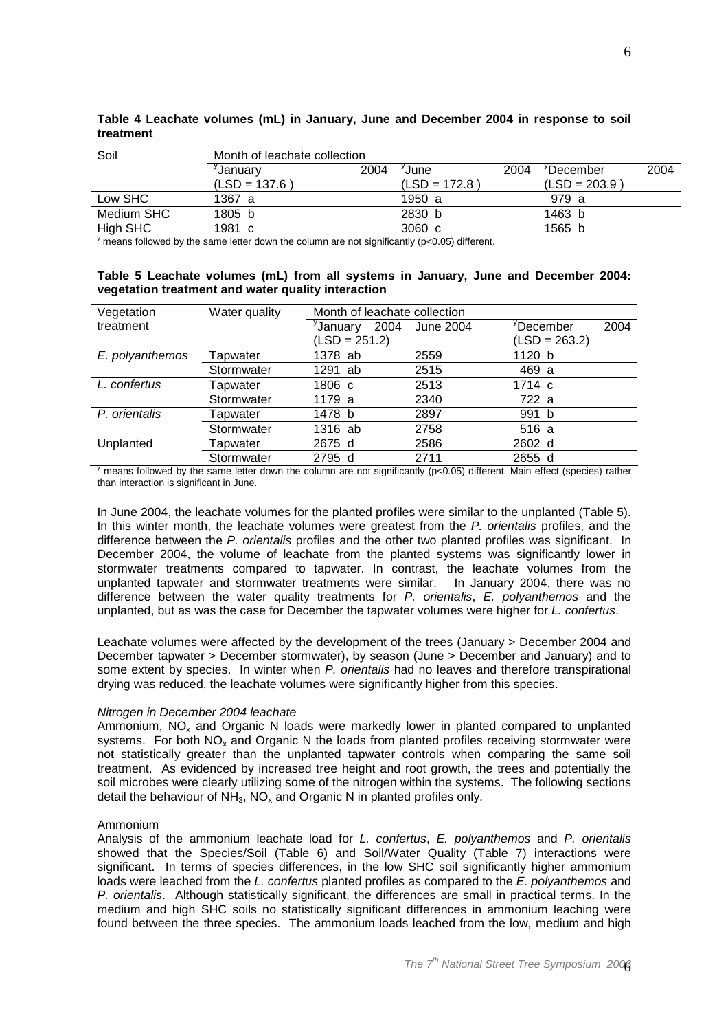| Soil       | Month of leachate collection |      |                  |      |                       |      |
|------------|------------------------------|------|------------------|------|-----------------------|------|
|            | <sup>y</sup> January         | 2004 | 'June-           | 2004 | <sup>y</sup> December | 2004 |
|            | $(LSD = 137.6)$              |      | $(LSD = 172.8)$  |      | $(LSD = 203.9)$       |      |
| Low SHC    | 1367 a                       |      | 1950 a           |      | 979 a                 |      |
| Medium SHC | 1805 b                       |      | 2830 b           |      | 1463 b                |      |
| High SHC   | 1981 c                       |      | $3060 \text{ c}$ |      | 1565 b                |      |

## **Table 4 Leachate volumes (mL) in January, June and December 2004 in response to soil treatment**

 $\frac{y}{y}$  means followed by the same letter down the column are not significantly (p<0.05) different.

## **Table 5 Leachate volumes (mL) from all systems in January, June and December 2004: vegetation treatment and water quality interaction**

| Vegetation      | Water quality | Month of leachate collection |           |                       |      |
|-----------------|---------------|------------------------------|-----------|-----------------------|------|
| treatment       |               | <sup>y</sup> January<br>2004 | June 2004 | <sup>y</sup> December | 2004 |
|                 |               | $(LSD = 251.2)$              |           | $(LSD = 263.2)$       |      |
| E. polyanthemos | Tapwater      | 1378 ab                      | 2559      | 1120 b                |      |
|                 | Stormwater    | 1291 ab                      | 2515      | 469 a                 |      |
| L. confertus    | Tapwater      | 1806 c                       | 2513      | 1714 c                |      |
|                 | Stormwater    | 1179 a                       | 2340      | 722 a                 |      |
| P. orientalis   | Tapwater      | 1478 b                       | 2897      | 991 b                 |      |
|                 | Stormwater    | 1316 ab                      | 2758      | 516 a                 |      |
| Unplanted       | Tapwater      | 2675 d                       | 2586      | 2602 d                |      |
|                 | Stormwater    | 2795<br>d                    | 2711      | 2655 d                |      |

 $\frac{y}{y}$  means followed by the same letter down the column are not significantly (p<0.05) different. Main effect (species) rather than interaction is significant in June.

In June 2004, the leachate volumes for the planted profiles were similar to the unplanted (Table 5). In this winter month, the leachate volumes were greatest from the P. orientalis profiles, and the difference between the P. orientalis profiles and the other two planted profiles was significant. In December 2004, the volume of leachate from the planted systems was significantly lower in stormwater treatments compared to tapwater. In contrast, the leachate volumes from the unplanted tapwater and stormwater treatments were similar. In January 2004, there was no difference between the water quality treatments for  $P$ . orientalis,  $E$ . polyanthemos and the unplanted, but as was the case for December the tapwater volumes were higher for L. confertus.

Leachate volumes were affected by the development of the trees (January > December 2004 and December tapwater > December stormwater), by season (June > December and January) and to some extent by species. In winter when P. orientalis had no leaves and therefore transpirational drying was reduced, the leachate volumes were significantly higher from this species.

# Nitrogen in December 2004 leachate

Ammonium,  $NO<sub>x</sub>$  and Organic N loads were markedly lower in planted compared to unplanted systems. For both  $NO<sub>x</sub>$  and Organic N the loads from planted profiles receiving stormwater were not statistically greater than the unplanted tapwater controls when comparing the same soil treatment. As evidenced by increased tree height and root growth, the trees and potentially the soil microbes were clearly utilizing some of the nitrogen within the systems. The following sections detail the behaviour of  $NH<sub>3</sub>$ , NO<sub>x</sub> and Organic N in planted profiles only.

## Ammonium

Analysis of the ammonium leachate load for L. confertus, E. polyanthemos and P. orientalis showed that the Species/Soil (Table 6) and Soil/Water Quality (Table 7) interactions were significant. In terms of species differences, in the low SHC soil significantly higher ammonium loads were leached from the L. confertus planted profiles as compared to the E. polyanthemos and P. orientalis. Although statistically significant, the differences are small in practical terms. In the medium and high SHC soils no statistically significant differences in ammonium leaching were found between the three species. The ammonium loads leached from the low, medium and high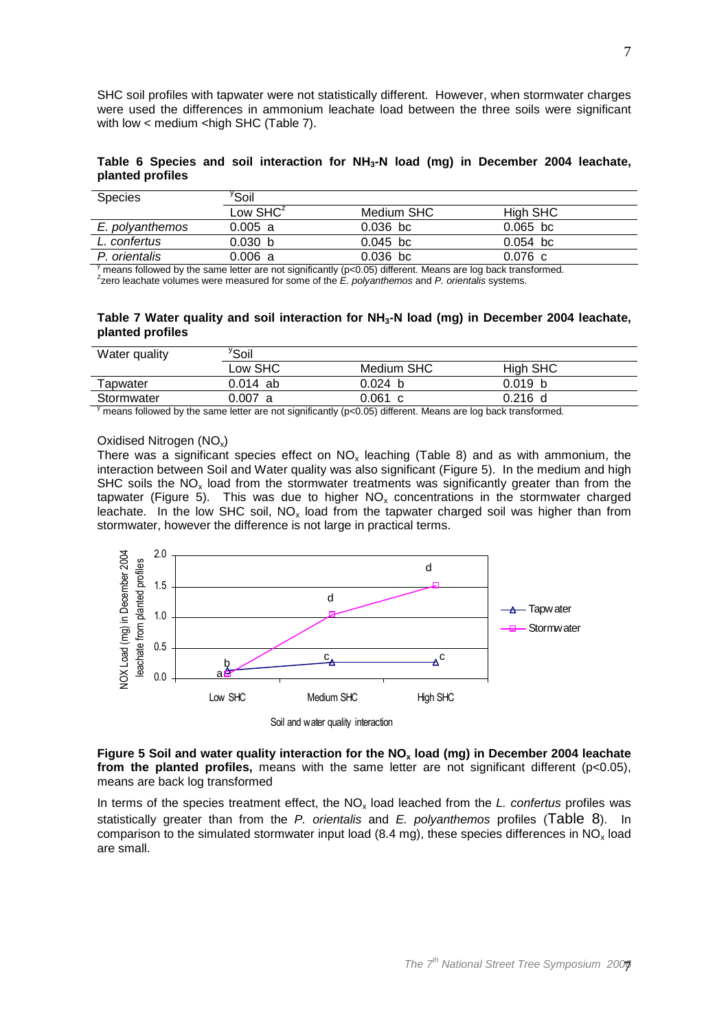SHC soil profiles with tapwater were not statistically different. However, when stormwater charges were used the differences in ammonium leachate load between the three soils were significant with low  $<$  medium  $<$ high SHC (Table 7).

**Table 6 Species and soil interaction for NH3-N load (mg) in December 2004 leachate, planted profiles** 

| <b>Species</b>  | <sup>y</sup> Soil |            |            |
|-----------------|-------------------|------------|------------|
|                 | Low $SHC^z$       | Medium SHC | High SHC   |
| E. polyanthemos | 0.005 a           | $0.036$ bc | $0.065$ bc |
| L. confertus    | 0.030 b           | $0.045$ bc | $0.054$ bc |
| P. orientalis   | $0.006$ a         | $0.036$ bc | 0.076c     |

 $\frac{y}{y}$  means followed by the same letter are not significantly (p<0.05) different. Means are log back transformed.  $z$ zero leachate volumes were measured for some of the  $E$ . polyanthemos and P. orientalis systems.

**Table 7 Water quality and soil interaction for NH3-N load (mg) in December 2004 leachate, planted profiles** 

| Water quality | ′Soil    |             |          |  |
|---------------|----------|-------------|----------|--|
|               | Low SHC  | Medium SHC  | High SHC |  |
| Tapwater      | 0.014 ab | 0.024<br>-b | 0.019 b  |  |
| Stormwater    | 0.007 a  | 0.061<br>C. | 0.216 d  |  |

 $\frac{y}{y}$  means followed by the same letter are not significantly (p<0.05) different. Means are log back transformed.

#### Oxidised Nitrogen (NO<sub>x</sub>)

There was a significant species effect on  $NO<sub>x</sub>$  leaching (Table 8) and as with ammonium, the interaction between Soil and Water quality was also significant (Figure 5). In the medium and high SHC soils the  $NO<sub>x</sub>$  load from the stormwater treatments was significantly greater than from the tapwater (Figure 5). This was due to higher  $NO<sub>x</sub>$  concentrations in the stormwater charged leachate. In the low SHC soil,  $NO<sub>x</sub>$  load from the tapwater charged soil was higher than from stormwater, however the difference is not large in practical terms.



Soil and water quality interaction

**Figure 5 Soil and water quality interaction for the NOx load (mg) in December 2004 leachate from the planted profiles,** means with the same letter are not significant different (p<0.05), means are back log transformed

In terms of the species treatment effect, the  $NO<sub>x</sub>$  load leached from the L. confertus profiles was statistically greater than from the P. orientalis and E. polyanthemos profiles (Table 8). In comparison to the simulated stormwater input load (8.4 mg), these species differences in  $NO_x$  load are small.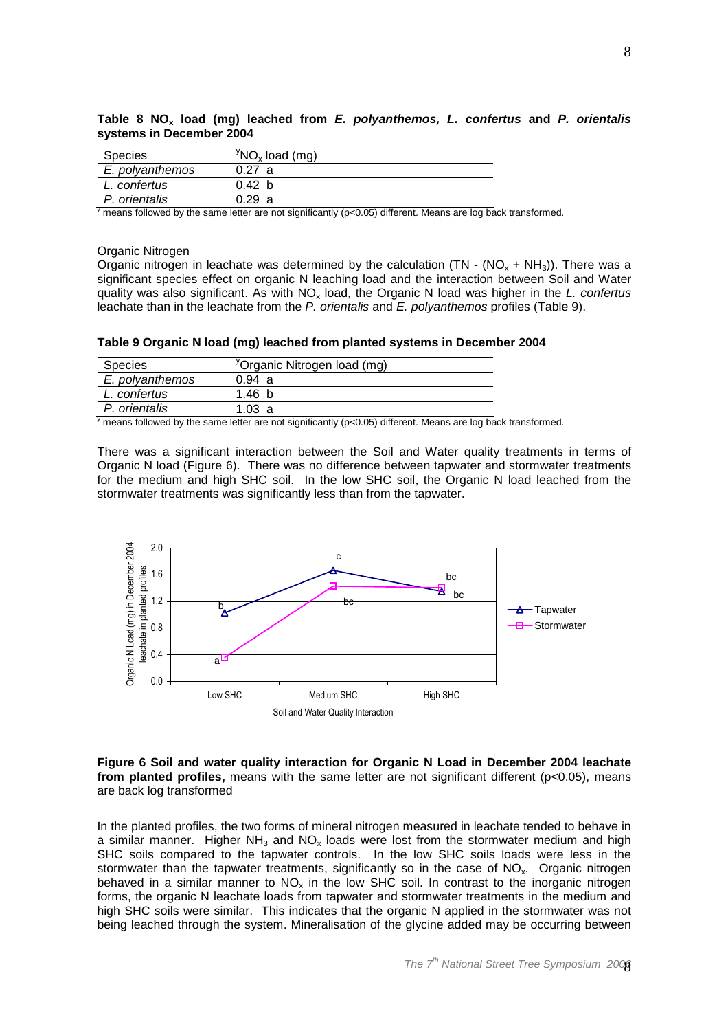| Species         | $\rm{^{y}NO_x}$ load (mg) |
|-----------------|---------------------------|
| E. polyanthemos | 0.27 a                    |
| L. confertus    | 0.42 h                    |
| P. orientalis   | 0.29 a                    |

**Table 8 NOx load (mg) leached from E. polyanthemos, L. confertus and P. orientalis systems in December 2004** 

 $\frac{y}{y}$  means followed by the same letter are not significantly (p<0.05) different. Means are log back transformed.

#### Organic Nitrogen

Organic nitrogen in leachate was determined by the calculation (TN - (NO<sub>x</sub> + NH<sub>3</sub>)). There was a significant species effect on organic N leaching load and the interaction between Soil and Water quality was also significant. As with  $NO<sub>x</sub>$  load, the Organic N load was higher in the L. confertus leachate than in the leachate from the P. orientalis and E. polyanthemos profiles (Table 9).

**Table 9 Organic N load (mg) leached from planted systems in December 2004** 

| <b>Species</b>  | <sup>y</sup> Organic Nitrogen load (mg) |
|-----------------|-----------------------------------------|
| E. polyanthemos | 0.94 a                                  |
| L. confertus    | 1.46h                                   |
| P. orientalis   | 103a                                    |

 $\frac{y}{y}$  means followed by the same letter are not significantly (p<0.05) different. Means are log back transformed.

There was a significant interaction between the Soil and Water quality treatments in terms of Organic N load (Figure 6). There was no difference between tapwater and stormwater treatments for the medium and high SHC soil. In the low SHC soil, the Organic N load leached from the stormwater treatments was significantly less than from the tapwater.



**Figure 6 Soil and water quality interaction for Organic N Load in December 2004 leachate from planted profiles,** means with the same letter are not significant different (p<0.05), means are back log transformed

In the planted profiles, the two forms of mineral nitrogen measured in leachate tended to behave in a similar manner. Higher NH<sub>3</sub> and NO<sub>x</sub> loads were lost from the stormwater medium and high SHC soils compared to the tapwater controls. In the low SHC soils loads were less in the stormwater than the tapwater treatments, significantly so in the case of  $NO<sub>x</sub>$ . Organic nitrogen behaved in a similar manner to  $NO<sub>x</sub>$  in the low SHC soil. In contrast to the inorganic nitrogen forms, the organic N leachate loads from tapwater and stormwater treatments in the medium and high SHC soils were similar. This indicates that the organic N applied in the stormwater was not being leached through the system. Mineralisation of the glycine added may be occurring between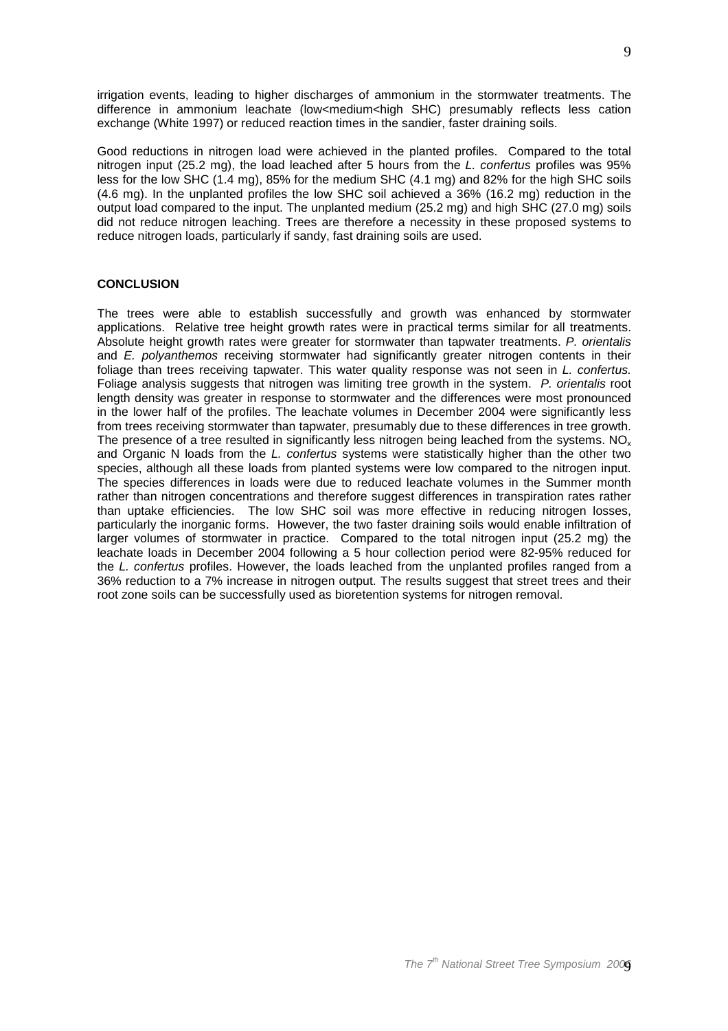irrigation events, leading to higher discharges of ammonium in the stormwater treatments. The difference in ammonium leachate (low<medium<high SHC) presumably reflects less cation exchange (White 1997) or reduced reaction times in the sandier, faster draining soils.

Good reductions in nitrogen load were achieved in the planted profiles. Compared to the total nitrogen input (25.2 mg), the load leached after 5 hours from the L. confertus profiles was 95% less for the low SHC (1.4 mg), 85% for the medium SHC (4.1 mg) and 82% for the high SHC soils (4.6 mg). In the unplanted profiles the low SHC soil achieved a 36% (16.2 mg) reduction in the output load compared to the input. The unplanted medium (25.2 mg) and high SHC (27.0 mg) soils did not reduce nitrogen leaching. Trees are therefore a necessity in these proposed systems to reduce nitrogen loads, particularly if sandy, fast draining soils are used.

## **CONCLUSION**

The trees were able to establish successfully and growth was enhanced by stormwater applications. Relative tree height growth rates were in practical terms similar for all treatments. Absolute height growth rates were greater for stormwater than tapwater treatments. P. orientalis and E. polyanthemos receiving stormwater had significantly greater nitrogen contents in their foliage than trees receiving tapwater. This water quality response was not seen in L. confertus. Foliage analysis suggests that nitrogen was limiting tree growth in the system. P. orientalis root length density was greater in response to stormwater and the differences were most pronounced in the lower half of the profiles. The leachate volumes in December 2004 were significantly less from trees receiving stormwater than tapwater, presumably due to these differences in tree growth. The presence of a tree resulted in significantly less nitrogen being leached from the systems. NO<sub>x</sub> and Organic N loads from the L. confertus systems were statistically higher than the other two species, although all these loads from planted systems were low compared to the nitrogen input. The species differences in loads were due to reduced leachate volumes in the Summer month rather than nitrogen concentrations and therefore suggest differences in transpiration rates rather than uptake efficiencies. The low SHC soil was more effective in reducing nitrogen losses, particularly the inorganic forms. However, the two faster draining soils would enable infiltration of larger volumes of stormwater in practice. Compared to the total nitrogen input (25.2 mg) the leachate loads in December 2004 following a 5 hour collection period were 82-95% reduced for the L. confertus profiles. However, the loads leached from the unplanted profiles ranged from a 36% reduction to a 7% increase in nitrogen output. The results suggest that street trees and their root zone soils can be successfully used as bioretention systems for nitrogen removal.